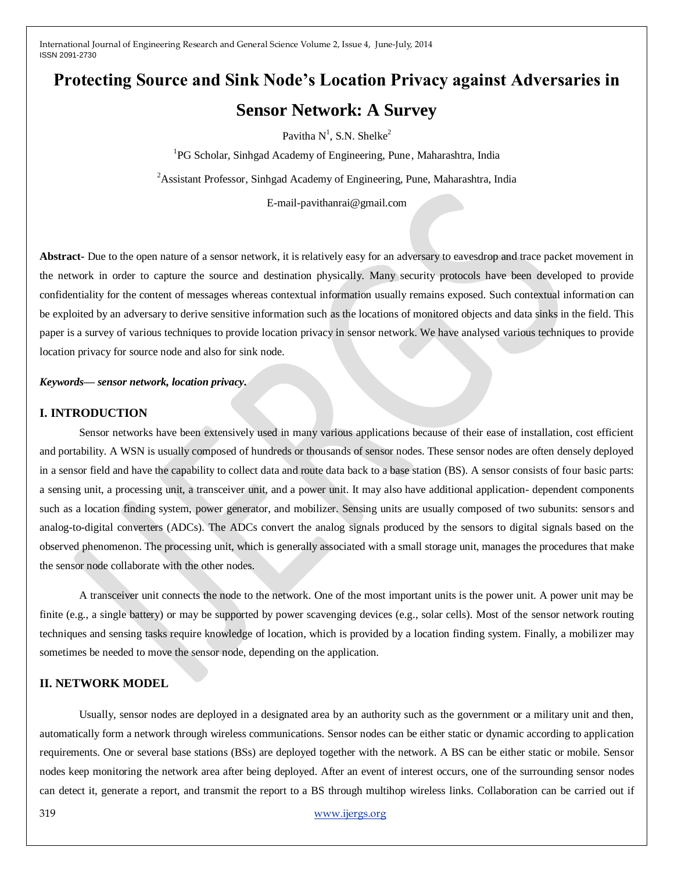# **Protecting Source and Sink Node's Location Privacy against Adversaries in Sensor Network: A Survey**

Pavitha  $N^1$ , S.N. Shelke<sup>2</sup>

<sup>1</sup>PG Scholar, Sinhgad Academy of Engineering, Pune, Maharashtra, India

<sup>2</sup> Assistant Professor, Sinhgad Academy of Engineering, Pune, Maharashtra, India

E-mail-pavithanrai@gmail.com

**Abstract-** Due to the open nature of a sensor network, it is relatively easy for an adversary to eavesdrop and trace packet movement in the network in order to capture the source and destination physically. Many security protocols have been developed to provide confidentiality for the content of messages whereas contextual information usually remains exposed. Such contextual information can be exploited by an adversary to derive sensitive information such as the locations of monitored objects and data sinks in the field. This paper is a survey of various techniques to provide location privacy in sensor network. We have analysed various techniques to provide location privacy for source node and also for sink node.

*Keywords— sensor network, location privacy.*

## **I. INTRODUCTION**

Sensor networks have been extensively used in many various applications because of their ease of installation, cost efficient and portability. A WSN is usually composed of hundreds or thousands of sensor nodes. These sensor nodes are often densely deployed in a sensor field and have the capability to collect data and route data back to a base station (BS). A sensor consists of four basic parts: a sensing unit, a processing unit, a transceiver unit, and a power unit. It may also have additional application- dependent components such as a location finding system, power generator, and mobilizer. Sensing units are usually composed of two subunits: sensors and analog-to-digital converters (ADCs). The ADCs convert the analog signals produced by the sensors to digital signals based on the observed phenomenon. The processing unit, which is generally associated with a small storage unit, manages the procedures that make the sensor node collaborate with the other nodes.

A transceiver unit connects the node to the network. One of the most important units is the power unit. A power unit may be finite (e.g., a single battery) or may be supported by power scavenging devices (e.g., solar cells). Most of the sensor network routing techniques and sensing tasks require knowledge of location, which is provided by a location finding system. Finally, a mobilizer may sometimes be needed to move the sensor node, depending on the application.

# **II. NETWORK MODEL**

Usually, sensor nodes are deployed in a designated area by an authority such as the government or a military unit and then, automatically form a network through wireless communications. Sensor nodes can be either static or dynamic according to application requirements. One or several base stations (BSs) are deployed together with the network. A BS can be either static or mobile. Sensor nodes keep monitoring the network area after being deployed. After an event of interest occurs, one of the surrounding sensor nodes can detect it, generate a report, and transmit the report to a BS through multihop wireless links. Collaboration can be carried out if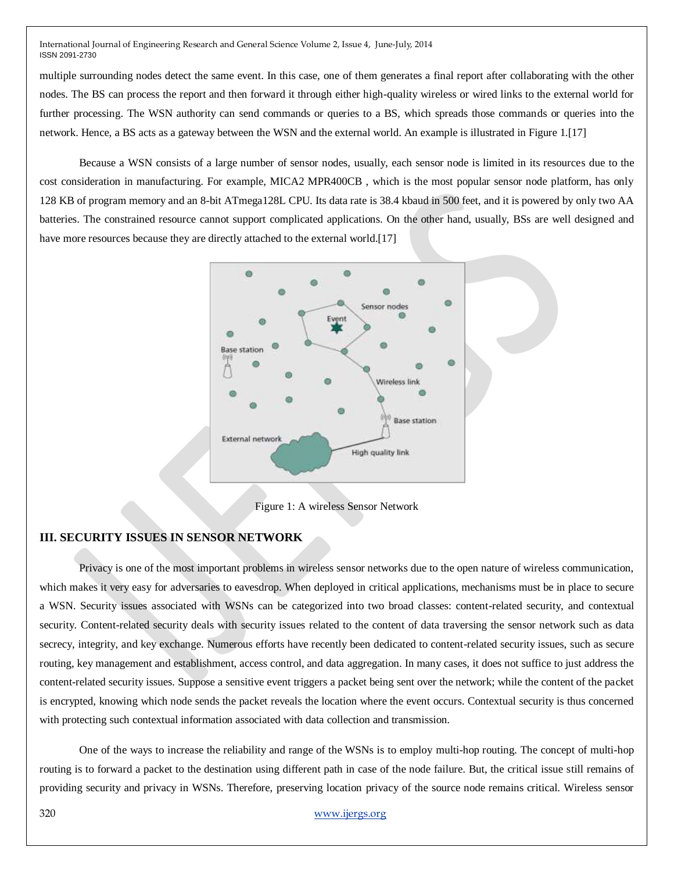multiple surrounding nodes detect the same event. In this case, one of them generates a final report after collaborating with the other nodes. The BS can process the report and then forward it through either high-quality wireless or wired links to the external world for further processing. The WSN authority can send commands or queries to a BS, which spreads those commands or queries into the network. Hence, a BS acts as a gateway between the WSN and the external world. An example is illustrated in Figure 1.[17]

Because a WSN consists of a large number of sensor nodes, usually, each sensor node is limited in its resources due to the cost consideration in manufacturing. For example, MICA2 MPR400CB , which is the most popular sensor node platform, has only 128 KB of program memory and an 8-bit ATmega128L CPU. Its data rate is 38.4 kbaud in 500 feet, and it is powered by only two AA batteries. The constrained resource cannot support complicated applications. On the other hand, usually, BSs are well designed and have more resources because they are directly attached to the external world.[17]



Figure 1: A wireless Sensor Network

## **III. SECURITY ISSUES IN SENSOR NETWORK**

Privacy is one of the most important problems in wireless sensor networks due to the open nature of wireless communication, which makes it very easy for adversaries to eavesdrop. When deployed in critical applications, mechanisms must be in place to secure a WSN. Security issues associated with WSNs can be categorized into two broad classes: content-related security, and contextual security. Content-related security deals with security issues related to the content of data traversing the sensor network such as data secrecy, integrity, and key exchange. Numerous efforts have recently been dedicated to content-related security issues, such as secure routing, key management and establishment, access control, and data aggregation. In many cases, it does not suffice to just address the content-related security issues. Suppose a sensitive event triggers a packet being sent over the network; while the content of the packet is encrypted, knowing which node sends the packet reveals the location where the event occurs. Contextual security is thus concerned with protecting such contextual information associated with data collection and transmission.

One of the ways to increase the reliability and range of the WSNs is to employ multi-hop routing. The concept of multi-hop routing is to forward a packet to the destination using different path in case of the node failure. But, the critical issue still remains of providing security and privacy in WSNs. Therefore, preserving location privacy of the source node remains critical. Wireless sensor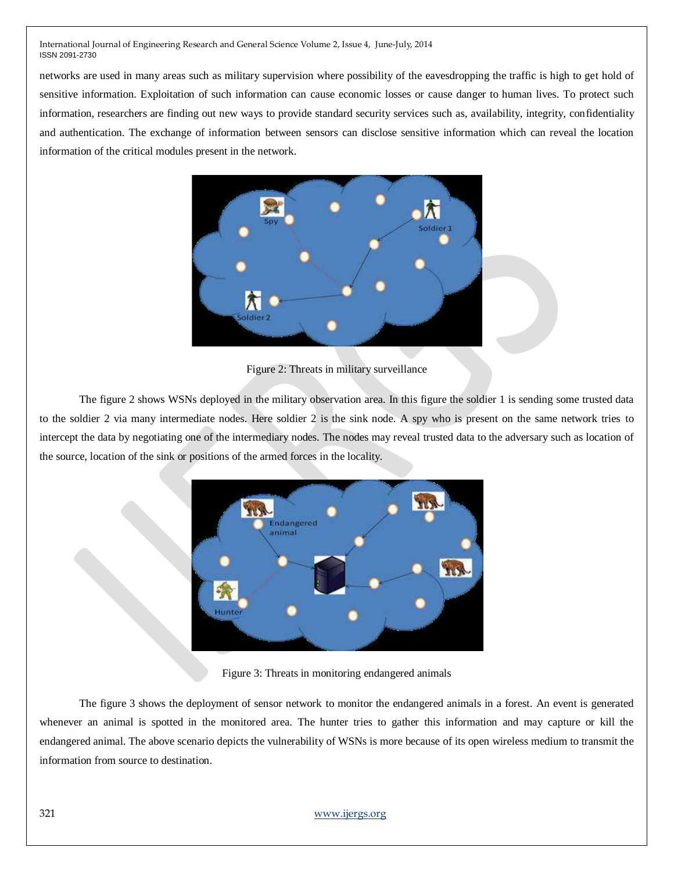networks are used in many areas such as military supervision where possibility of the eavesdropping the traffic is high to get hold of sensitive information. Exploitation of such information can cause economic losses or cause danger to human lives. To protect such information, researchers are finding out new ways to provide standard security services such as, availability, integrity, confidentiality and authentication. The exchange of information between sensors can disclose sensitive information which can reveal the location information of the critical modules present in the network.



Figure 2: Threats in military surveillance

The figure 2 shows WSNs deployed in the military observation area. In this figure the soldier 1 is sending some trusted data to the soldier 2 via many intermediate nodes. Here soldier 2 is the sink node. A spy who is present on the same network tries to intercept the data by negotiating one of the intermediary nodes. The nodes may reveal trusted data to the adversary such as location of the source, location of the sink or positions of the armed forces in the locality.



Figure 3: Threats in monitoring endangered animals

The figure 3 shows the deployment of sensor network to monitor the endangered animals in a forest. An event is generated whenever an animal is spotted in the monitored area. The hunter tries to gather this information and may capture or kill the endangered animal. The above scenario depicts the vulnerability of WSNs is more because of its open wireless medium to transmit the information from source to destination.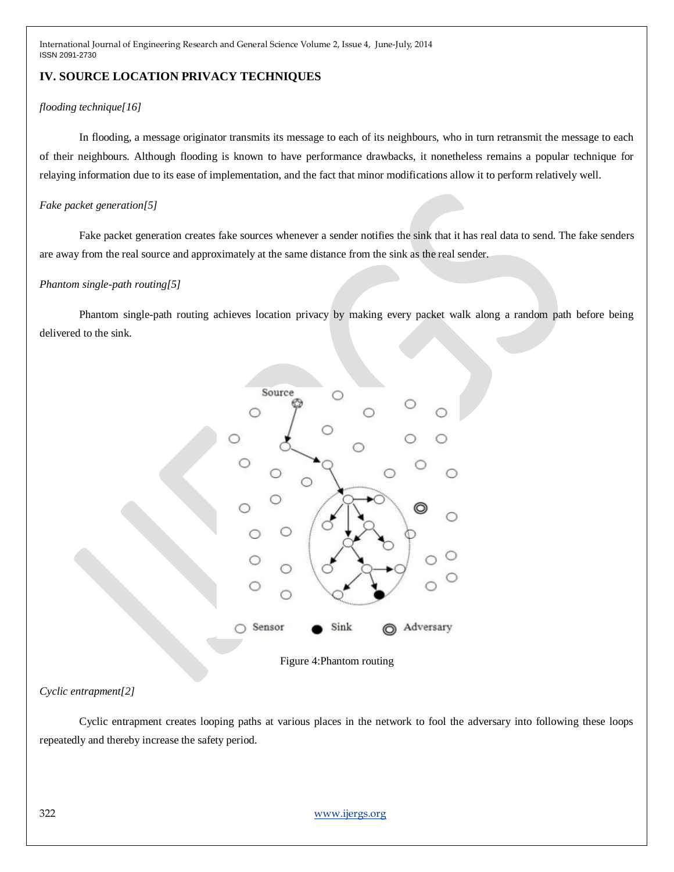# **IV. SOURCE LOCATION PRIVACY TECHNIQUES**

### *flooding technique[16]*

In flooding, a message originator transmits its message to each of its neighbours, who in turn retransmit the message to each of their neighbours. Although flooding is known to have performance drawbacks, it nonetheless remains a popular technique for relaying information due to its ease of implementation, and the fact that minor modifications allow it to perform relatively well.

### *Fake packet generation[5]*

Fake packet generation creates fake sources whenever a sender notifies the sink that it has real data to send. The fake senders are away from the real source and approximately at the same distance from the sink as the real sender.

#### *Phantom single-path routing[5]*

Phantom single-path routing achieves location privacy by making every packet walk along a random path before being delivered to the sink.



Figure 4:Phantom routing

## *Cyclic entrapment[2]*

Cyclic entrapment creates looping paths at various places in the network to fool the adversary into following these loops repeatedly and thereby increase the safety period.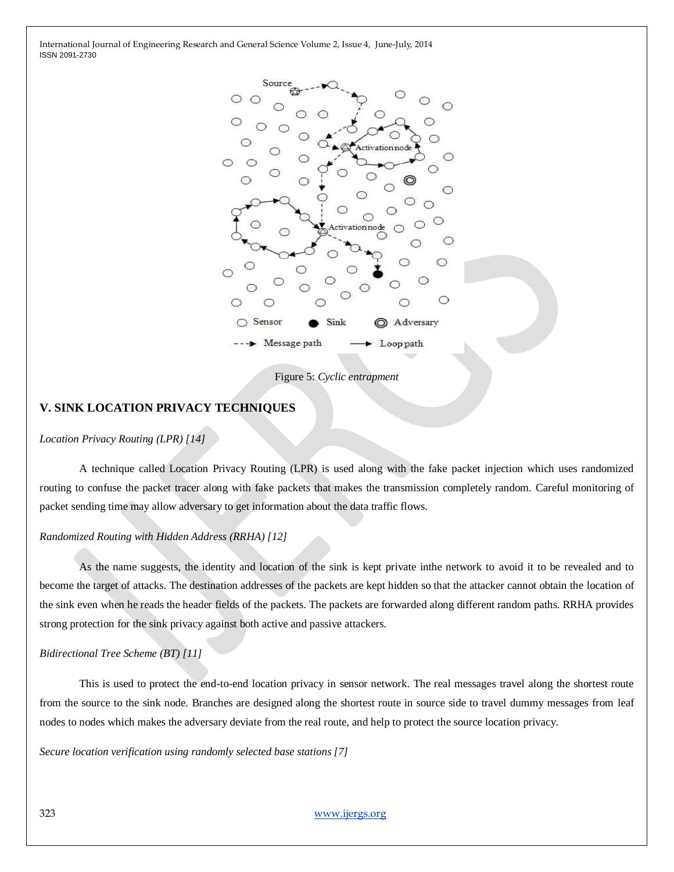

Figure 5: *Cyclic entrapment*

## **V. SINK LOCATION PRIVACY TECHNIQUES**

#### *Location Privacy Routing (LPR) [14]*

A technique called Location Privacy Routing (LPR) is used along with the fake packet injection which uses randomized routing to confuse the packet tracer along with fake packets that makes the transmission completely random. Careful monitoring of packet sending time may allow adversary to get information about the data traffic flows.

#### *Randomized Routing with Hidden Address (RRHA) [12]*

As the name suggests, the identity and location of the sink is kept private inthe network to avoid it to be revealed and to become the target of attacks. The destination addresses of the packets are kept hidden so that the attacker cannot obtain the location of the sink even when he reads the header fields of the packets. The packets are forwarded along different random paths. RRHA provides strong protection for the sink privacy against both active and passive attackers.

#### *Bidirectional Tree Scheme (BT) [11]*

This is used to protect the end-to-end location privacy in sensor network. The real messages travel along the shortest route from the source to the sink node. Branches are designed along the shortest route in source side to travel dummy messages from leaf nodes to nodes which makes the adversary deviate from the real route, and help to protect the source location privacy.

*Secure location verification using randomly selected base stations [7]*

323 [www.ijergs.org](http://www.ijergs.org/)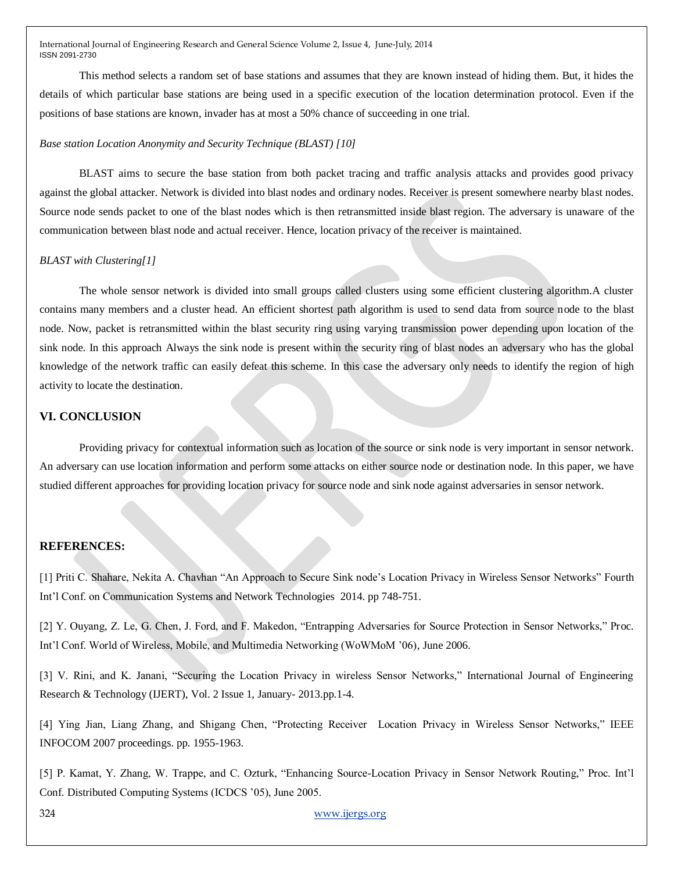This method selects a random set of base stations and assumes that they are known instead of hiding them. But, it hides the details of which particular base stations are being used in a specific execution of the location determination protocol. Even if the positions of base stations are known, invader has at most a 50% chance of succeeding in one trial.

#### *Base station Location Anonymity and Security Technique (BLAST) [10]*

BLAST aims to secure the base station from both packet tracing and traffic analysis attacks and provides good privacy against the global attacker. Network is divided into blast nodes and ordinary nodes. Receiver is present somewhere nearby blast nodes. Source node sends packet to one of the blast nodes which is then retransmitted inside blast region. The adversary is unaware of the communication between blast node and actual receiver. Hence, location privacy of the receiver is maintained.

#### *BLAST with Clustering[1]*

The whole sensor network is divided into small groups called clusters using some efficient clustering algorithm.A cluster contains many members and a cluster head. An efficient shortest path algorithm is used to send data from source node to the blast node. Now, packet is retransmitted within the blast security ring using varying transmission power depending upon location of the sink node. In this approach Always the sink node is present within the security ring of blast nodes an adversary who has the global knowledge of the network traffic can easily defeat this scheme. In this case the adversary only needs to identify the region of high activity to locate the destination.

## **VI. CONCLUSION**

Providing privacy for contextual information such as location of the source or sink node is very important in sensor network. An adversary can use location information and perform some attacks on either source node or destination node. In this paper, we have studied different approaches for providing location privacy for source node and sink node against adversaries in sensor network.

#### **REFERENCES:**

[1] Priti C. Shahare, Nekita A. Chavhan "An Approach to Secure Sink node's Location Privacy in Wireless Sensor Networks" Fourth Int'l Conf. on Communication Systems and Network Technologies 2014. pp 748-751.

[2] Y. Ouyang, Z. Le, G. Chen, J. Ford, and F. Makedon, "Entrapping Adversaries for Source Protection in Sensor Networks," Proc. Int'l Conf. World of Wireless, Mobile, and Multimedia Networking (WoWMoM '06), June 2006.

[3] V. Rini, and K. Janani, "Securing the Location Privacy in wireless Sensor Networks," International Journal of Engineering Research & Technology (IJERT), Vol. 2 Issue 1, January- 2013.pp.1-4.

[4] Ying Jian, Liang Zhang, and Shigang Chen, "Protecting Receiver Location Privacy in Wireless Sensor Networks," IEEE INFOCOM 2007 proceedings. pp. 1955-1963.

[5] P. Kamat, Y. Zhang, W. Trappe, and C. Ozturk, "Enhancing Source-Location Privacy in Sensor Network Routing," Proc. Int'l Conf. Distributed Computing Systems (ICDCS '05), June 2005.

324 [www.ijergs.org](http://www.ijergs.org/)